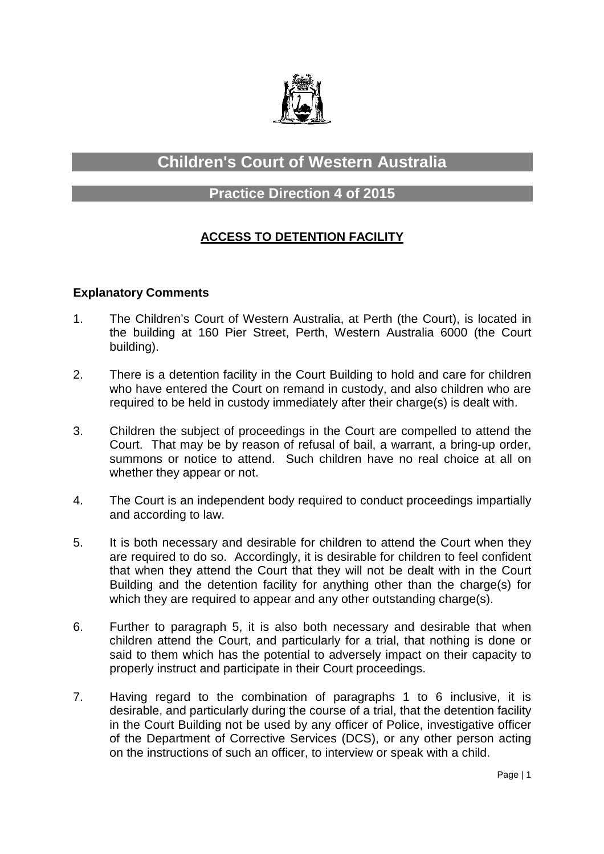

# **Children's Court of Western Australia**

## **Practice Direction 4 of 2015**

### **ACCESS TO DETENTION FACILITY**

#### **Explanatory Comments**

- 1. The Children's Court of Western Australia, at Perth (the Court), is located in the building at 160 Pier Street, Perth, Western Australia 6000 (the Court building).
- 2. There is a detention facility in the Court Building to hold and care for children who have entered the Court on remand in custody, and also children who are required to be held in custody immediately after their charge(s) is dealt with.
- 3. Children the subject of proceedings in the Court are compelled to attend the Court. That may be by reason of refusal of bail, a warrant, a bring-up order, summons or notice to attend. Such children have no real choice at all on whether they appear or not.
- 4. The Court is an independent body required to conduct proceedings impartially and according to law.
- 5. It is both necessary and desirable for children to attend the Court when they are required to do so. Accordingly, it is desirable for children to feel confident that when they attend the Court that they will not be dealt with in the Court Building and the detention facility for anything other than the charge(s) for which they are required to appear and any other outstanding charge(s).
- 6. Further to paragraph 5, it is also both necessary and desirable that when children attend the Court, and particularly for a trial, that nothing is done or said to them which has the potential to adversely impact on their capacity to properly instruct and participate in their Court proceedings.
- 7. Having regard to the combination of paragraphs 1 to 6 inclusive, it is desirable, and particularly during the course of a trial, that the detention facility in the Court Building not be used by any officer of Police, investigative officer of the Department of Corrective Services (DCS), or any other person acting on the instructions of such an officer, to interview or speak with a child.